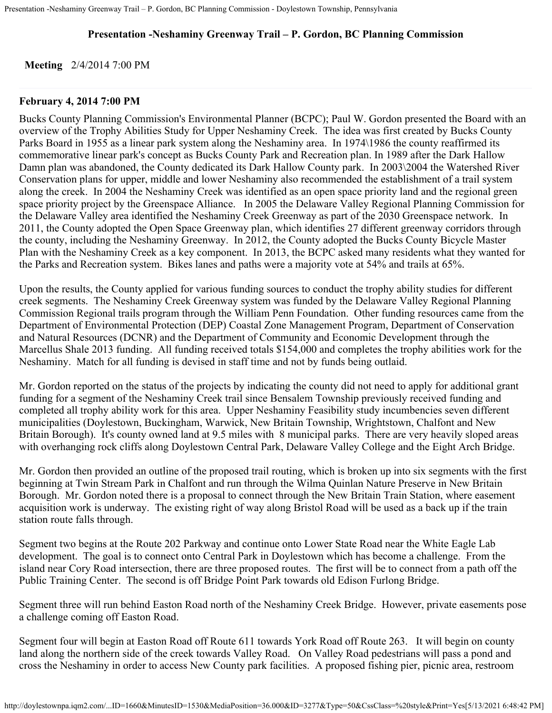## **Presentation -Neshaminy Greenway Trail – P. Gordon, BC Planning Commission**

**Meeting** 2/4/2014 7:00 PM

## **February 4, 2014 7:00 PM**

Bucks County Planning Commission's Environmental Planner (BCPC); Paul W. Gordon presented the Board with an overview of the Trophy Abilities Study for Upper Neshaminy Creek. The idea was first created by Bucks County Parks Board in 1955 as a linear park system along the Neshaminy area. In 1974\1986 the county reaffirmed its commemorative linear park's concept as Bucks County Park and Recreation plan. In 1989 after the Dark Hallow Damn plan was abandoned, the County dedicated its Dark Hallow County park. In 2003\2004 the Watershed River Conservation plans for upper, middle and lower Neshaminy also recommended the establishment of a trail system along the creek. In 2004 the Neshaminy Creek was identified as an open space priority land and the regional green space priority project by the Greenspace Alliance. In 2005 the Delaware Valley Regional Planning Commission for the Delaware Valley area identified the Neshaminy Creek Greenway as part of the 2030 Greenspace network. In 2011, the County adopted the Open Space Greenway plan, which identifies 27 different greenway corridors through the county, including the Neshaminy Greenway. In 2012, the County adopted the Bucks County Bicycle Master Plan with the Neshaminy Creek as a key component. In 2013, the BCPC asked many residents what they wanted for the Parks and Recreation system. Bikes lanes and paths were a majority vote at 54% and trails at 65%.

Upon the results, the County applied for various funding sources to conduct the trophy ability studies for different creek segments. The Neshaminy Creek Greenway system was funded by the Delaware Valley Regional Planning Commission Regional trails program through the William Penn Foundation. Other funding resources came from the Department of Environmental Protection (DEP) Coastal Zone Management Program, Department of Conservation and Natural Resources (DCNR) and the Department of Community and Economic Development through the Marcellus Shale 2013 funding. All funding received totals \$154,000 and completes the trophy abilities work for the Neshaminy. Match for all funding is devised in staff time and not by funds being outlaid.

Mr. Gordon reported on the status of the projects by indicating the county did not need to apply for additional grant funding for a segment of the Neshaminy Creek trail since Bensalem Township previously received funding and completed all trophy ability work for this area. Upper Neshaminy Feasibility study incumbencies seven different municipalities (Doylestown, Buckingham, Warwick, New Britain Township, Wrightstown, Chalfont and New Britain Borough). It's county owned land at 9.5 miles with 8 municipal parks. There are very heavily sloped areas with overhanging rock cliffs along Doylestown Central Park, Delaware Valley College and the Eight Arch Bridge.

Mr. Gordon then provided an outline of the proposed trail routing, which is broken up into six segments with the first beginning at Twin Stream Park in Chalfont and run through the Wilma Quinlan Nature Preserve in New Britain Borough. Mr. Gordon noted there is a proposal to connect through the New Britain Train Station, where easement acquisition work is underway. The existing right of way along Bristol Road will be used as a back up if the train station route falls through.

Segment two begins at the Route 202 Parkway and continue onto Lower State Road near the White Eagle Lab development. The goal is to connect onto Central Park in Doylestown which has become a challenge. From the island near Cory Road intersection, there are three proposed routes. The first will be to connect from a path off the Public Training Center. The second is off Bridge Point Park towards old Edison Furlong Bridge.

Segment three will run behind Easton Road north of the Neshaminy Creek Bridge. However, private easements pose a challenge coming off Easton Road.

Segment four will begin at Easton Road off Route 611 towards York Road off Route 263. It will begin on county land along the northern side of the creek towards Valley Road. On Valley Road pedestrians will pass a pond and cross the Neshaminy in order to access New County park facilities. A proposed fishing pier, picnic area, restroom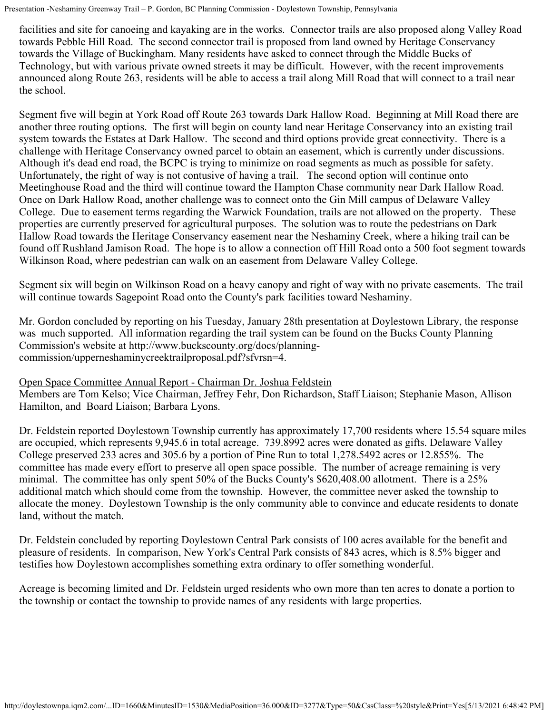Presentation -Neshaminy Greenway Trail – P. Gordon, BC Planning Commission - Doylestown Township, Pennsylvania

facilities and site for canoeing and kayaking are in the works. Connector trails are also proposed along Valley Road towards Pebble Hill Road. The second connector trail is proposed from land owned by Heritage Conservancy towards the Village of Buckingham. Many residents have asked to connect through the Middle Bucks of Technology, but with various private owned streets it may be difficult. However, with the recent improvements announced along Route 263, residents will be able to access a trail along Mill Road that will connect to a trail near the school.

Segment five will begin at York Road off Route 263 towards Dark Hallow Road. Beginning at Mill Road there are another three routing options. The first will begin on county land near Heritage Conservancy into an existing trail system towards the Estates at Dark Hallow. The second and third options provide great connectivity. There is a challenge with Heritage Conservancy owned parcel to obtain an easement, which is currently under discussions. Although it's dead end road, the BCPC is trying to minimize on road segments as much as possible for safety. Unfortunately, the right of way is not contusive of having a trail. The second option will continue onto Meetinghouse Road and the third will continue toward the Hampton Chase community near Dark Hallow Road. Once on Dark Hallow Road, another challenge was to connect onto the Gin Mill campus of Delaware Valley College. Due to easement terms regarding the Warwick Foundation, trails are not allowed on the property. These properties are currently preserved for agricultural purposes. The solution was to route the pedestrians on Dark Hallow Road towards the Heritage Conservancy easement near the Neshaminy Creek, where a hiking trail can be found off Rushland Jamison Road. The hope is to allow a connection off Hill Road onto a 500 foot segment towards Wilkinson Road, where pedestrian can walk on an easement from Delaware Valley College.

Segment six will begin on Wilkinson Road on a heavy canopy and right of way with no private easements. The trail will continue towards Sagepoint Road onto the County's park facilities toward Neshaminy.

Mr. Gordon concluded by reporting on his Tuesday, January 28th presentation at Doylestown Library, the response was much supported. All information regarding the trail system can be found on the Bucks County Planning Commission's website at http://www.buckscounty.org/docs/planningcommission/upperneshaminycreektrailproposal.pdf?sfvrsn=4.

## Open Space Committee Annual Report - Chairman Dr. Joshua Feldstein

Members are Tom Kelso; Vice Chairman, Jeffrey Fehr, Don Richardson, Staff Liaison; Stephanie Mason, Allison Hamilton, and Board Liaison; Barbara Lyons.

Dr. Feldstein reported Doylestown Township currently has approximately 17,700 residents where 15.54 square miles are occupied, which represents 9,945.6 in total acreage. 739.8992 acres were donated as gifts. Delaware Valley College preserved 233 acres and 305.6 by a portion of Pine Run to total 1,278.5492 acres or 12.855%. The committee has made every effort to preserve all open space possible. The number of acreage remaining is very minimal. The committee has only spent 50% of the Bucks County's \$620,408.00 allotment. There is a 25% additional match which should come from the township. However, the committee never asked the township to allocate the money. Doylestown Township is the only community able to convince and educate residents to donate land, without the match.

Dr. Feldstein concluded by reporting Doylestown Central Park consists of 100 acres available for the benefit and pleasure of residents. In comparison, New York's Central Park consists of 843 acres, which is 8.5% bigger and testifies how Doylestown accomplishes something extra ordinary to offer something wonderful.

Acreage is becoming limited and Dr. Feldstein urged residents who own more than ten acres to donate a portion to the township or contact the township to provide names of any residents with large properties.